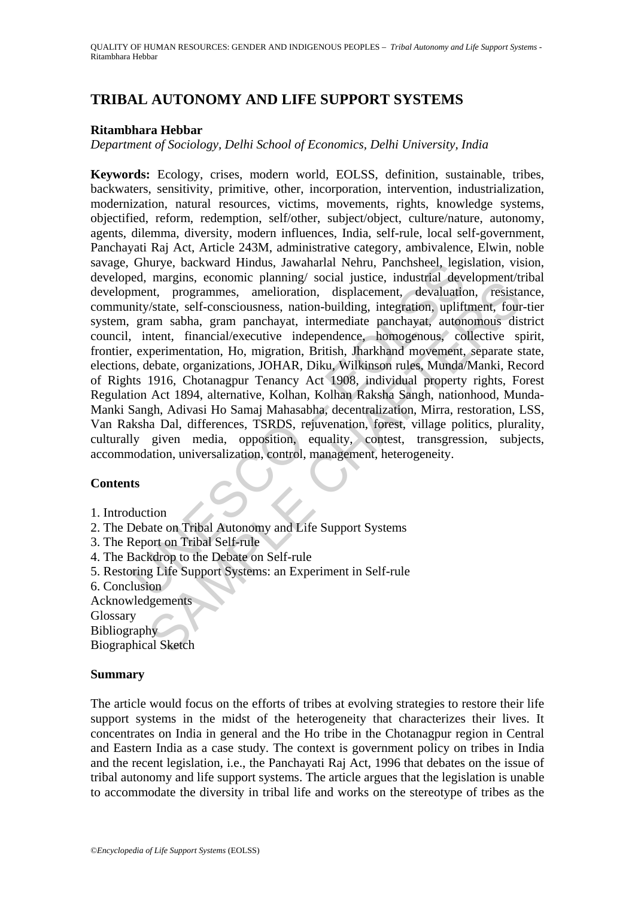# **TRIBAL AUTONOMY AND LIFE SUPPORT SYSTEMS**

## **Ritambhara Hebbar**

*Department of Sociology, Delhi School of Economics, Delhi University, India* 

Ghurye, backward Hindus, Jawaharial Nehru, Panchsheel, legtor, maryins, economic planning/social justice, industrial development, rogrammes, amelioration, displacement, devaluationity/state, self-consciousness, nation-buil magnis, contoning principal social nustrice, mustarian accorptinent and programmes, amelioration, displacement, devaluation, resistant exploration, state, self-consciousness, nation-building, integration, upliftment, four **Keywords:** Ecology, crises, modern world, EOLSS, definition, sustainable, tribes, backwaters, sensitivity, primitive, other, incorporation, intervention, industrialization, modernization, natural resources, victims, movements, rights, knowledge systems, objectified, reform, redemption, self/other, subject/object, culture/nature, autonomy, agents, dilemma, diversity, modern influences, India, self-rule, local self-government, Panchayati Raj Act, Article 243M, administrative category, ambivalence, Elwin, noble savage, Ghurye, backward Hindus, Jawaharlal Nehru, Panchsheel, legislation, vision, developed, margins, economic planning/ social justice, industrial development/tribal development, programmes, amelioration, displacement, devaluation, resistance, community/state, self-consciousness, nation-building, integration, upliftment, four-tier system, gram sabha, gram panchayat, intermediate panchayat, autonomous district council, intent, financial/executive independence, homogenous, collective spirit, frontier, experimentation, Ho, migration, British, Jharkhand movement, separate state, elections, debate, organizations, JOHAR, Diku, Wilkinson rules, Munda/Manki, Record of Rights 1916, Chotanagpur Tenancy Act 1908, individual property rights, Forest Regulation Act 1894, alternative, Kolhan, Kolhan Raksha Sangh, nationhood, Munda-Manki Sangh, Adivasi Ho Samaj Mahasabha, decentralization, Mirra, restoration, LSS, Van Raksha Dal, differences, TSRDS, rejuvenation, forest, village politics, plurality, culturally given media, opposition, equality, contest, transgression, subjects, accommodation, universalization, control, management, heterogeneity.

## **Contents**

- 1. Introduction
- 2. The Debate on Tribal Autonomy and Life Support Systems
- 3. The Report on Tribal Self-rule
- 4. The Backdrop to the Debate on Self-rule
- 5. Restoring Life Support Systems: an Experiment in Self-rule
- 6. Conclusion
- Acknowledgements

Glossary

Bibliography

Biographical Sketch

## **Summary**

The article would focus on the efforts of tribes at evolving strategies to restore their life support systems in the midst of the heterogeneity that characterizes their lives. It concentrates on India in general and the Ho tribe in the Chotanagpur region in Central and Eastern India as a case study. The context is government policy on tribes in India and the recent legislation, i.e., the Panchayati Raj Act, 1996 that debates on the issue of tribal autonomy and life support systems. The article argues that the legislation is unable to accommodate the diversity in tribal life and works on the stereotype of tribes as the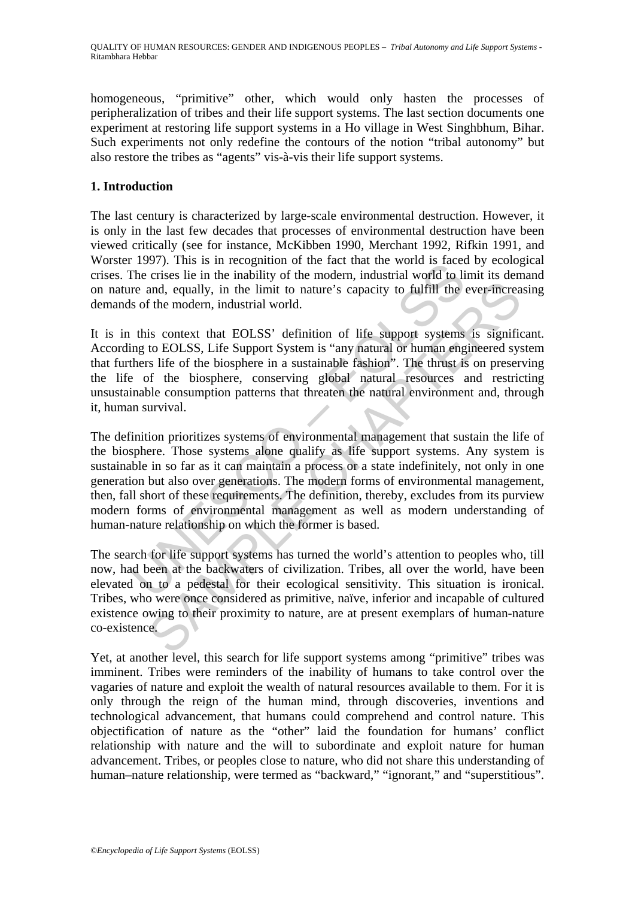homogeneous, "primitive" other, which would only hasten the processes of peripheralization of tribes and their life support systems. The last section documents one experiment at restoring life support systems in a Ho village in West Singhbhum, Bihar. Such experiments not only redefine the contours of the notion "tribal autonomy" but also restore the tribes as "agents" vis-à-vis their life support systems.

# **1. Introduction**

The last century is characterized by large-scale environmental destruction. However, it is only in the last few decades that processes of environmental destruction have been viewed critically (see for instance, McKibben 1990, Merchant 1992, Rifkin 1991, and Worster 1997). This is in recognition of the fact that the world is faced by ecological crises. The crises lie in the inability of the modern, industrial world to limit its demand on nature and, equally, in the limit to nature's capacity to fulfill the ever-increasing demands of the modern, industrial world.

It is in this context that EOLSS' definition of life support systems is significant. According to EOLSS, Life Support System is "any natural or human engineered system that furthers life of the biosphere in a sustainable fashion". The thrust is on preserving the life of the biosphere, conserving global natural resources and restricting unsustainable consumption patterns that threaten the natural environment and, through it, human survival.

1997). Thus is in recognition of the ract that the world is access lie in the inability of the modern, industrial world to life or each, each and equally, in the limit to nature's capacity to fulfill the order and, equally and, equally, in the limit to nature's capacity to fulfill the ever-increast and, equally, in the limit to nature's capacity to fulfill the ever-increast the modern, industrial world.<br>
is context that EOLSS' definition of The definition prioritizes systems of environmental management that sustain the life of the biosphere. Those systems alone qualify as life support systems. Any system is sustainable in so far as it can maintain a process or a state indefinitely, not only in one generation but also over generations. The modern forms of environmental management, then, fall short of these requirements. The definition, thereby, excludes from its purview modern forms of environmental management as well as modern understanding of human-nature relationship on which the former is based.

The search for life support systems has turned the world's attention to peoples who, till now, had been at the backwaters of civilization. Tribes, all over the world, have been elevated on to a pedestal for their ecological sensitivity. This situation is ironical. Tribes, who were once considered as primitive, naïve, inferior and incapable of cultured existence owing to their proximity to nature, are at present exemplars of human-nature co-existence.

Yet, at another level, this search for life support systems among "primitive" tribes was imminent. Tribes were reminders of the inability of humans to take control over the vagaries of nature and exploit the wealth of natural resources available to them. For it is only through the reign of the human mind, through discoveries, inventions and technological advancement, that humans could comprehend and control nature. This objectification of nature as the "other" laid the foundation for humans' conflict relationship with nature and the will to subordinate and exploit nature for human advancement. Tribes, or peoples close to nature, who did not share this understanding of human–nature relationship, were termed as "backward," "ignorant," and "superstitious".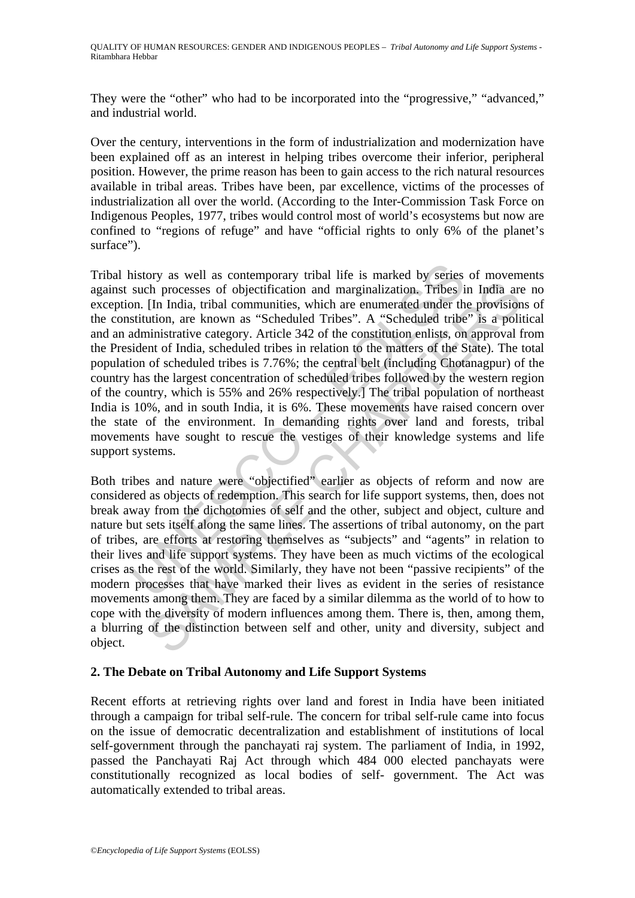They were the "other" who had to be incorporated into the "progressive," "advanced," and industrial world.

Over the century, interventions in the form of industrialization and modernization have been explained off as an interest in helping tribes overcome their inferior, peripheral position. However, the prime reason has been to gain access to the rich natural resources available in tribal areas. Tribes have been, par excellence, victims of the processes of industrialization all over the world. (According to the Inter-Commission Task Force on Indigenous Peoples, 1977, tribes would control most of world's ecosystems but now are confined to "regions of refuge" and have "official rights to only 6% of the planet's surface").

nistory as well as contemporary tribal life is marked by series<br>such processes of objectification and marginalization. Tribes i<br>on. [In India, tribal communities, which are enumerated under th<br>stitution, are known as "Sche The processes of objectification and marginalization. Tribes in India are<br>
(In India, tribal communities, which are enumerated under the provision<br>
(In India, tribal communities, which are enumerated under the provision<br>
u Tribal history as well as contemporary tribal life is marked by series of movements against such processes of objectification and marginalization. Tribes in India are no exception. [In India, tribal communities, which are enumerated under the provisions of the constitution, are known as "Scheduled Tribes". A "Scheduled tribe" is a political and an administrative category. Article 342 of the constitution enlists, on approval from the President of India, scheduled tribes in relation to the matters of the State). The total population of scheduled tribes is 7.76%; the central belt (including Chotanagpur) of the country has the largest concentration of scheduled tribes followed by the western region of the country, which is 55% and 26% respectively.] The tribal population of northeast India is 10%, and in south India, it is 6%. These movements have raised concern over the state of the environment. In demanding rights over land and forests, tribal movements have sought to rescue the vestiges of their knowledge systems and life support systems.

Both tribes and nature were "objectified" earlier as objects of reform and now are considered as objects of redemption. This search for life support systems, then, does not break away from the dichotomies of self and the other, subject and object, culture and nature but sets itself along the same lines. The assertions of tribal autonomy, on the part of tribes, are efforts at restoring themselves as "subjects" and "agents" in relation to their lives and life support systems. They have been as much victims of the ecological crises as the rest of the world. Similarly, they have not been "passive recipients" of the modern processes that have marked their lives as evident in the series of resistance movements among them. They are faced by a similar dilemma as the world of to how to cope with the diversity of modern influences among them. There is, then, among them, a blurring of the distinction between self and other, unity and diversity, subject and object.

# **2. The Debate on Tribal Autonomy and Life Support Systems**

Recent efforts at retrieving rights over land and forest in India have been initiated through a campaign for tribal self-rule. The concern for tribal self-rule came into focus on the issue of democratic decentralization and establishment of institutions of local self-government through the panchayati raj system. The parliament of India, in 1992, passed the Panchayati Raj Act through which 484 000 elected panchayats were constitutionally recognized as local bodies of self- government. The Act was automatically extended to tribal areas.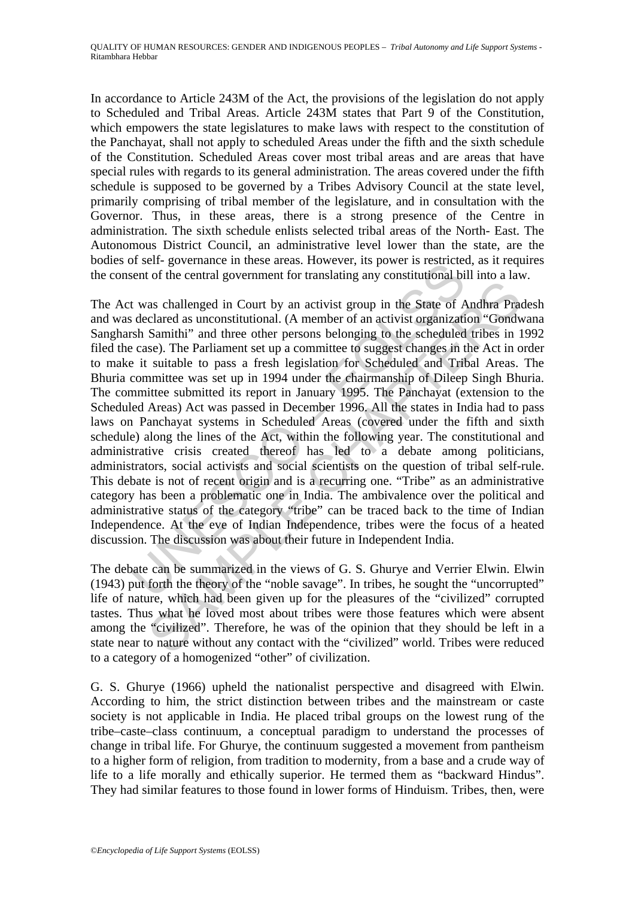In accordance to Article 243M of the Act, the provisions of the legislation do not apply to Scheduled and Tribal Areas. Article 243M states that Part 9 of the Constitution, which empowers the state legislatures to make laws with respect to the constitution of the Panchayat, shall not apply to scheduled Areas under the fifth and the sixth schedule of the Constitution. Scheduled Areas cover most tribal areas and are areas that have special rules with regards to its general administration. The areas covered under the fifth schedule is supposed to be governed by a Tribes Advisory Council at the state level, primarily comprising of tribal member of the legislature, and in consultation with the Governor. Thus, in these areas, there is a strong presence of the Centre in administration. The sixth schedule enlists selected tribal areas of the North- East. The Autonomous District Council, an administrative level lower than the state, are the bodies of self- governance in these areas. However, its power is restricted, as it requires the consent of the central government for translating any constitutional bill into a law.

In sen-<br>governance in uese areas. However, its power is restricted<br>eart of the central government for translating any constitutional bi<br>t was challenged in Court by an activist group in the State of A<br>seclared as unconstit as challenged in Court by an activist group in the State of Andhra Practicused as uconstitutional. (A member of an activist egraptization "Gondwita" Samithi" and three other persons belonging to the scheduled tribes in Sec The Act was challenged in Court by an activist group in the State of Andhra Pradesh and was declared as unconstitutional. (A member of an activist organization "Gondwana Sangharsh Samithi" and three other persons belonging to the scheduled tribes in 1992 filed the case). The Parliament set up a committee to suggest changes in the Act in order to make it suitable to pass a fresh legislation for Scheduled and Tribal Areas. The Bhuria committee was set up in 1994 under the chairmanship of Dileep Singh Bhuria. The committee submitted its report in January 1995. The Panchayat (extension to the Scheduled Areas) Act was passed in December 1996. All the states in India had to pass laws on Panchayat systems in Scheduled Areas (covered under the fifth and sixth schedule) along the lines of the Act, within the following year. The constitutional and administrative crisis created thereof has led to a debate among politicians, administrators, social activists and social scientists on the question of tribal self-rule. This debate is not of recent origin and is a recurring one. "Tribe" as an administrative category has been a problematic one in India. The ambivalence over the political and administrative status of the category "tribe" can be traced back to the time of Indian Independence. At the eve of Indian Independence, tribes were the focus of a heated discussion. The discussion was about their future in Independent India.

The debate can be summarized in the views of G. S. Ghurye and Verrier Elwin. Elwin (1943) put forth the theory of the "noble savage". In tribes, he sought the "uncorrupted" life of nature, which had been given up for the pleasures of the "civilized" corrupted tastes. Thus what he loved most about tribes were those features which were absent among the "civilized". Therefore, he was of the opinion that they should be left in a state near to nature without any contact with the "civilized" world. Tribes were reduced to a category of a homogenized "other" of civilization.

G. S. Ghurye (1966) upheld the nationalist perspective and disagreed with Elwin. According to him, the strict distinction between tribes and the mainstream or caste society is not applicable in India. He placed tribal groups on the lowest rung of the tribe–caste–class continuum, a conceptual paradigm to understand the processes of change in tribal life. For Ghurye, the continuum suggested a movement from pantheism to a higher form of religion, from tradition to modernity, from a base and a crude way of life to a life morally and ethically superior. He termed them as "backward Hindus". They had similar features to those found in lower forms of Hinduism. Tribes, then, were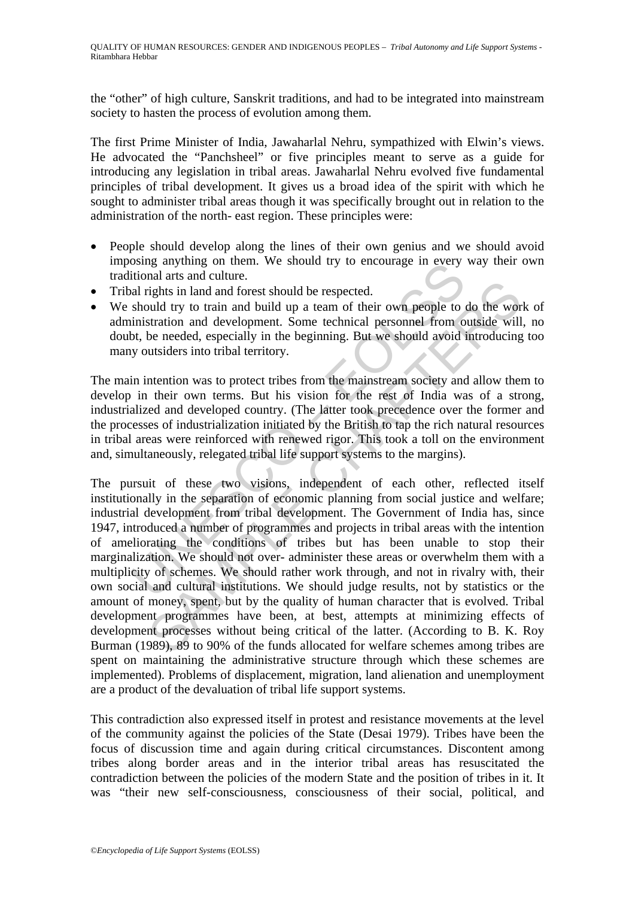the "other" of high culture, Sanskrit traditions, and had to be integrated into mainstream society to hasten the process of evolution among them.

The first Prime Minister of India, Jawaharlal Nehru, sympathized with Elwin's views. He advocated the "Panchsheel" or five principles meant to serve as a guide for introducing any legislation in tribal areas. Jawaharlal Nehru evolved five fundamental principles of tribal development. It gives us a broad idea of the spirit with which he sought to administer tribal areas though it was specifically brought out in relation to the administration of the north- east region. These principles were:

- People should develop along the lines of their own genius and we should avoid imposing anything on them. We should try to encourage in every way their own traditional arts and culture.
- Tribal rights in land and forest should be respected.
- We should try to train and build up a team of their own people to do the work of administration and development. Some technical personnel from outside will, no doubt, be needed, especially in the beginning. But we should avoid introducing too many outsiders into tribal territory.

The main intention was to protect tribes from the mainstream society and allow them to develop in their own terms. But his vision for the rest of India was of a strong, industrialized and developed country. (The latter took precedence over the former and the processes of industrialization initiated by the British to tap the rich natural resources in tribal areas were reinforced with renewed rigor. This took a toll on the environment and, simultaneously, relegated tribal life support systems to the margins).

Using anything of them. We should try to encourage in every<br>titural arts and culture.<br>
And rights in land and forest should be respected.<br>
Should try to train and build up a team of their own people to<br>
inistration and dev The state and offered to the mean and product the state and processes without be product and processes without being a realized consequent. Some technical personnel from outside will be needed, especially in the beginning. The pursuit of these two visions, independent of each other, reflected itself institutionally in the separation of economic planning from social justice and welfare; industrial development from tribal development. The Government of India has, since 1947, introduced a number of programmes and projects in tribal areas with the intention of ameliorating the conditions of tribes but has been unable to stop their marginalization. We should not over- administer these areas or overwhelm them with a multiplicity of schemes. We should rather work through, and not in rivalry with, their own social and cultural institutions. We should judge results, not by statistics or the amount of money, spent, but by the quality of human character that is evolved. Tribal development programmes have been, at best, attempts at minimizing effects of development processes without being critical of the latter. (According to B. K. Roy Burman (1989), 89 to 90% of the funds allocated for welfare schemes among tribes are spent on maintaining the administrative structure through which these schemes are implemented). Problems of displacement, migration, land alienation and unemployment are a product of the devaluation of tribal life support systems.

This contradiction also expressed itself in protest and resistance movements at the level of the community against the policies of the State (Desai 1979). Tribes have been the focus of discussion time and again during critical circumstances. Discontent among tribes along border areas and in the interior tribal areas has resuscitated the contradiction between the policies of the modern State and the position of tribes in it. It was "their new self-consciousness, consciousness of their social, political, and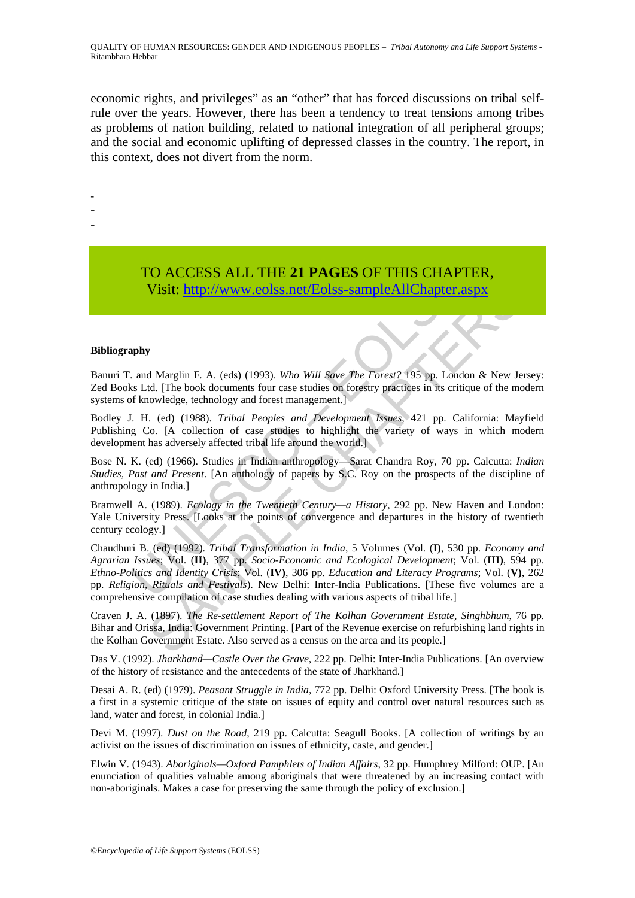QUALITY OF HUMAN RESOURCES: GENDER AND INDIGENOUS PEOPLES – *Tribal Autonomy and Life Support Systems* - Ritambhara Hebbar

economic rights, and privileges" as an "other" that has forced discussions on tribal selfrule over the years. However, there has been a tendency to treat tensions among tribes as problems of nation building, related to national integration of all peripheral groups; and the social and economic uplifting of depressed classes in the country. The report, in this context, does not divert from the norm.

-

- -

> TO ACCESS ALL THE **21 PAGES** OF THIS CHAPTER, Visit: http://www.eolss.net/Eolss-sampleAllChapter.aspx

#### **Bibliography**

Banuri T. and Marglin F. A. (eds) (1993). *Who Will Save The Forest?* 195 pp. London & New Jersey: Zed Books Ltd. [The book documents four case studies on forestry practices in its critique of the modern systems of knowledge, technology and forest management.]

Bodley J. H. (ed) (1988). *Tribal Peoples and Development Issues*, 421 pp. California: Mayfield Publishing Co. [A collection of case studies to highlight the variety of ways in which modern development has adversely affected tribal life around the world.]

Bose N. K. (ed) (1966). Studies in Indian anthropology—Sarat Chandra Roy, 70 pp. Calcutta: *Indian Studies, Past and Present*. [An anthology of papers by S.C. Roy on the prospects of the discipline of anthropology in India.]

Bramwell A. (1989). *Ecology in the Twentieth Century—a History*, 292 pp. New Haven and London: Yale University Press. [Looks at the points of convergence and departures in the history of twentieth century ecology.]

**TO ACCESS ALL THE 21 PAGES OF THIS CHAPT**<br>Visit: http://www.colss.net/Eolss-sampleAllChapter.a<br>and Marglin F. A. (eds) (1993). Who Will Save The Forest? 195 pp. Londe<br>of knowledge, technology and forest management.]<br>I. H **Visit:** http://www.colss.net/Eolss-sampleAllChapter.aspx<br> **Visit:** http://www.colss.net/Eolss-sampleAllChapter.aspx<br>
d Marglin F. A. (eds) (1993). Who Will Save The Forest? 195 pp. London & New Je<br>
id. [(ne) (1988). Trib Chaudhuri B. (ed) (1992). *Tribal Transformation in India*, 5 Volumes (Vol. (**I)**, 530 pp. *Economy and Agrarian Issues*; Vol. (**II)**, 377 pp. *Socio-Economic and Ecological Development*; Vol. (**III)**, 594 pp. *Ethno-Politics and Identity Crisis*; Vol. (**IV)**, 306 pp. *Education and Literacy Programs*; Vol. (**V)**, 262 pp. *Religion, Rituals and Festivals*). New Delhi: Inter-India Publications. [These five volumes are a comprehensive compilation of case studies dealing with various aspects of tribal life.]

Craven J. A. (1897). *The Re-settlement Report of The Kolhan Government Estate, Singhbhum*, 76 pp. Bihar and Orissa, India: Government Printing. [Part of the Revenue exercise on refurbishing land rights in the Kolhan Government Estate. Also served as a census on the area and its people.]

Das V. (1992). *Jharkhand—Castle Over the Grave*, 222 pp. Delhi: Inter-India Publications. [An overview of the history of resistance and the antecedents of the state of Jharkhand.]

Desai A. R. (ed) (1979). *Peasant Struggle in India*, 772 pp. Delhi: Oxford University Press. [The book is a first in a systemic critique of the state on issues of equity and control over natural resources such as land, water and forest, in colonial India.]

Devi M. (1997). *Dust on the Road*, 219 pp. Calcutta: Seagull Books. [A collection of writings by an activist on the issues of discrimination on issues of ethnicity, caste, and gender.]

Elwin V. (1943). *Aboriginals—Oxford Pamphlets of Indian Affairs*, 32 pp. Humphrey Milford: OUP. [An enunciation of qualities valuable among aboriginals that were threatened by an increasing contact with non-aboriginals. Makes a case for preserving the same through the policy of exclusion.]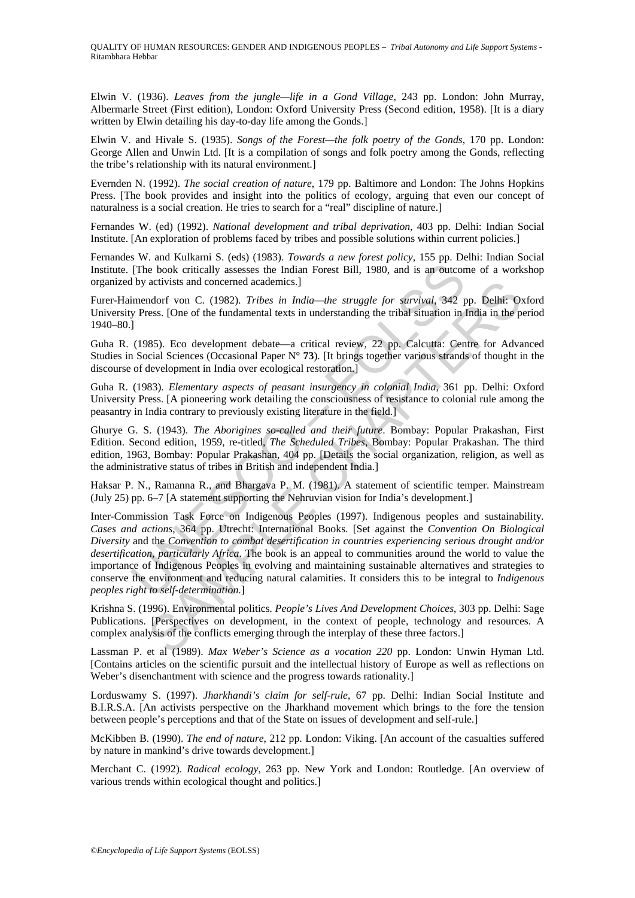Elwin V. (1936). *Leaves from the jungle—life in a Gond Village*, 243 pp. London: John Murray, Albermarle Street (First edition), London: Oxford University Press (Second edition, 1958). [It is a diary written by Elwin detailing his day-to-day life among the Gonds.]

Elwin V. and Hivale S. (1935). *Songs of the Forest—the folk poetry of the Gonds*, 170 pp. London: George Allen and Unwin Ltd. [It is a compilation of songs and folk poetry among the Gonds, reflecting the tribe's relationship with its natural environment.]

Evernden N. (1992). *The social creation of nature*, 179 pp. Baltimore and London: The Johns Hopkins Press. [The book provides and insight into the politics of ecology, arguing that even our concept of naturalness is a social creation. He tries to search for a "real" discipline of nature.]

Fernandes W. (ed) (1992). *National development and tribal deprivation*, 403 pp. Delhi: Indian Social Institute. [An exploration of problems faced by tribes and possible solutions within current policies.]

Fernandes W. and Kulkarni S. (eds) (1983). *Towards a new forest policy*, 155 pp. Delhi: Indian Social Institute. [The book critically assesses the Indian Forest Bill, 1980, and is an outcome of a workshop organized by activists and concerned academics.]

Furer-Haimendorf von C. (1982). *Tribes in India—the struggle for survival*, 342 pp. Delhi: Oxford University Press. [One of the fundamental texts in understanding the tribal situation in India in the period 1940–80.]

Guha R. (1985). Eco development debate—a critical review, 22 pp. Calcutta: Centre for Advanced Studies in Social Sciences (Occasional Paper N° **73**). [It brings together various strands of thought in the discourse of development in India over ecological restoration.]

Guha R. (1983). *Elementary aspects of peasant insurgency in colonial India*, 361 pp. Delhi: Oxford University Press. [A pioneering work detailing the consciousness of resistance to colonial rule among the peasantry in India contrary to previously existing literature in the field.]

Ghurye G. S. (1943). *The Aborigines so-called and their future*. Bombay: Popular Prakashan, First Edition. Second edition, 1959, re-titled, *The Scheduled Tribes*, Bombay: Popular Prakashan. The third edition, 1963, Bombay: Popular Prakashan, 404 pp. [Details the social organization, religion, as well as the administrative status of tribes in British and independent India.]

Haksar P. N., Ramanna R., and Bhargava P. M. (1981). A statement of scientific temper. Mainstream (July 25) pp. 6–7 [A statement supporting the Nehruvian vision for India's development.]

[The book critically assesses the Indian Forest Bill, 1980, and is an outcom<br>
by activists and concerned academics.]<br>
limendorf von C. (1982). *Tribes in India—the struggle for survival*, 342 p<br>
press. [One of the fundame activists and concerned academics.]<br>ndorf von C. (1982). *Tribes in India—the struggle for survival*, 342 pp. Delhi: O<br>sess. [One of the fundamental texts in understanding the tribal situation in India in the p<br>ss). Eco de Inter-Commission Task Force on Indigenous Peoples (1997). Indigenous peoples and sustainability*. Cases and actions*, 364 pp. Utrecht: International Books. [Set against the *Convention On Biological Diversity* and the *Convention to combat desertification in countries experiencing serious drought and/or desertification, particularly Africa*. The book is an appeal to communities around the world to value the importance of Indigenous Peoples in evolving and maintaining sustainable alternatives and strategies to conserve the environment and reducing natural calamities. It considers this to be integral to *Indigenous peoples right to self-determination*.]

Krishna S. (1996). Environmental politics*. People's Lives And Development Choices*, 303 pp. Delhi: Sage Publications. [Perspectives on development, in the context of people, technology and resources. A complex analysis of the conflicts emerging through the interplay of these three factors.]

Lassman P. et al (1989). *Max Weber's Science as a vocation 220* pp. London: Unwin Hyman Ltd. [Contains articles on the scientific pursuit and the intellectual history of Europe as well as reflections on Weber's disenchantment with science and the progress towards rationality.

Lorduswamy S. (1997). *Jharkhandi's claim for self-rule*, 67 pp. Delhi: Indian Social Institute and B.I.R.S.A. [An activists perspective on the Jharkhand movement which brings to the fore the tension between people's perceptions and that of the State on issues of development and self-rule.]

McKibben B. (1990). *The end of nature*, 212 pp. London: Viking. [An account of the casualties suffered by nature in mankind's drive towards development.]

Merchant C. (1992). *Radical ecology*, 263 pp. New York and London: Routledge. [An overview of various trends within ecological thought and politics.]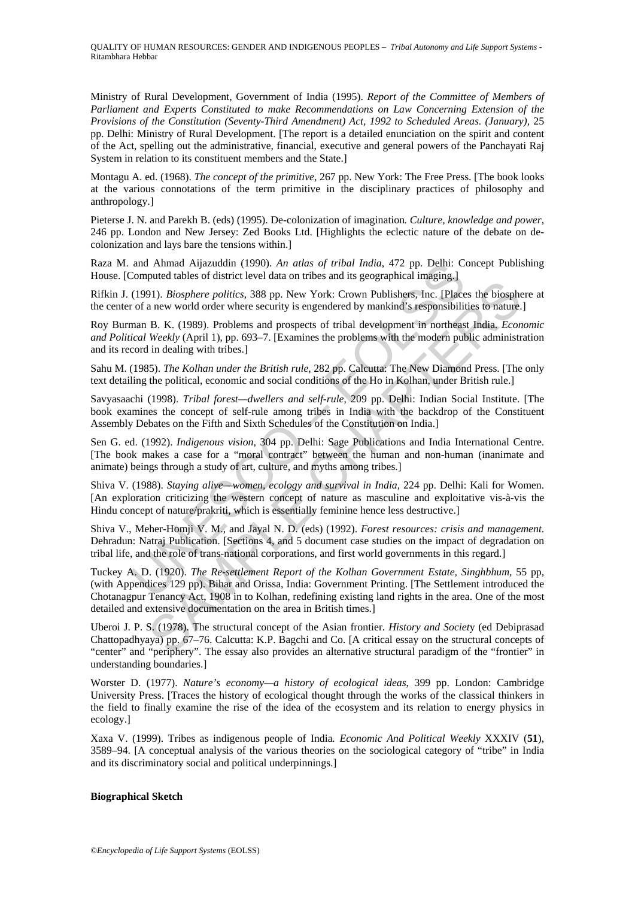QUALITY OF HUMAN RESOURCES: GENDER AND INDIGENOUS PEOPLES – *Tribal Autonomy and Life Support Systems* - Ritambhara Hebbar

Ministry of Rural Development, Government of India (1995). *Report of the Committee of Members of Parliament and Experts Constituted to make Recommendations on Law Concerning Extension of the Provisions of the Constitution (Seventy-Third Amendment) Act, 1992 to Scheduled Areas. (January)*, 25 pp. Delhi: Ministry of Rural Development. [The report is a detailed enunciation on the spirit and content of the Act, spelling out the administrative, financial, executive and general powers of the Panchayati Raj System in relation to its constituent members and the State.]

Montagu A. ed. (1968). *The concept of the primitive*, 267 pp. New York: The Free Press. [The book looks at the various connotations of the term primitive in the disciplinary practices of philosophy and anthropology.]

Pieterse J. N. and Parekh B. (eds) (1995). De-colonization of imagination*. Culture, knowledge and power*, 246 pp. London and New Jersey: Zed Books Ltd. [Highlights the eclectic nature of the debate on decolonization and lays bare the tensions within.]

Raza M. and Ahmad Aijazuddin (1990). *An atlas of tribal India*, 472 pp. Delhi: Concept Publishing House. [Computed tables of district level data on tribes and its geographical imaging.]

Rifkin J. (1991). *Biosphere politics*, 388 pp. New York: Crown Publishers, Inc. [Places the biosphere at the center of a new world order where security is engendered by mankind's responsibilities to nature.]

Roy Burman B. K. (1989). Problems and prospects of tribal development in northeast India*. Economic and Political Weekly* (April 1), pp. 693–7. [Examines the problems with the modern public administration and its record in dealing with tribes.]

Sahu M. (1985). *The Kolhan under the British rule*, 282 pp. Calcutta: The New Diamond Press. [The only text detailing the political, economic and social conditions of the Ho in Kolhan, under British rule.]

Savyasaachi (1998). *Tribal forest—dwellers and self-rule*, 209 pp. Delhi: Indian Social Institute. [The book examines the concept of self-rule among tribes in India with the backdrop of the Constituent Assembly Debates on the Fifth and Sixth Schedules of the Constitution on India.]

and Ahmad Aijazuddin (1990). An atlas of tribal India, 472 pp. Delhi: Computed tables of district level data on tribes and its geographical imaging.]<br>(1991). Biosphere politics, 388 pp. New York: Crown Publishers, Inc. [P Sen G. ed. (1992). *Indigenous vision*, 304 pp. Delhi: Sage Publications and India International Centre. [The book makes a case for a "moral contract" between the human and non-human (inanimate and animate) beings through a study of art, culture, and myths among tribes.]

Shiva V. (1988). *Staying alive—women, ecology and survival in India*, 224 pp. Delhi: Kali for Women. [An exploration criticizing the western concept of nature as masculine and exploitative vis-à-vis the Hindu concept of nature/prakriti, which is essentially feminine hence less destructive.]

Shiva V., Meher-Homji V. M., and Jayal N. D. (eds) (1992). *Forest resources: crisis and management*. Dehradun: Natraj Publication. [Sections 4, and 5 document case studies on the impact of degradation on tribal life, and the role of trans-national corporations, and first world governments in this regard.]

91). *Biosphere politics*, 388 pp. New York: Crown Publishers, Inc. [Places the biosphere politics, 388 pp. New York: Crown Publishers, Inc. [Places the biosphere accurity is engendered by mankind's responsibilities to na Tuckey A. D. (1920). *The Re-settlement Report of the Kolhan Government Estate, Singhbhum*, 55 pp, (with Appendices 129 pp). Bihar and Orissa, India: Government Printing. [The Settlement introduced the Chotanagpur Tenancy Act, 1908 in to Kolhan, redefining existing land rights in the area. One of the most detailed and extensive documentation on the area in British times.]

Uberoi J. P. S. (1978). The structural concept of the Asian frontier*. History and Societ*y (ed Debiprasad Chattopadhyaya) pp. 67–76. Calcutta: K.P. Bagchi and Co. [A critical essay on the structural concepts of "center" and "periphery". The essay also provides an alternative structural paradigm of the "frontier" in understanding boundaries.]

Worster D. (1977). *Nature's economy—a history of ecological ideas*, 399 pp. London: Cambridge University Press. [Traces the history of ecological thought through the works of the classical thinkers in the field to finally examine the rise of the idea of the ecosystem and its relation to energy physics in ecology.]

Xaxa V. (1999). Tribes as indigenous people of India*. Economic And Political Weekly* XXXIV (**51**), 3589–94. [A conceptual analysis of the various theories on the sociological category of "tribe" in India and its discriminatory social and political underpinnings.]

#### **Biographical Sketch**